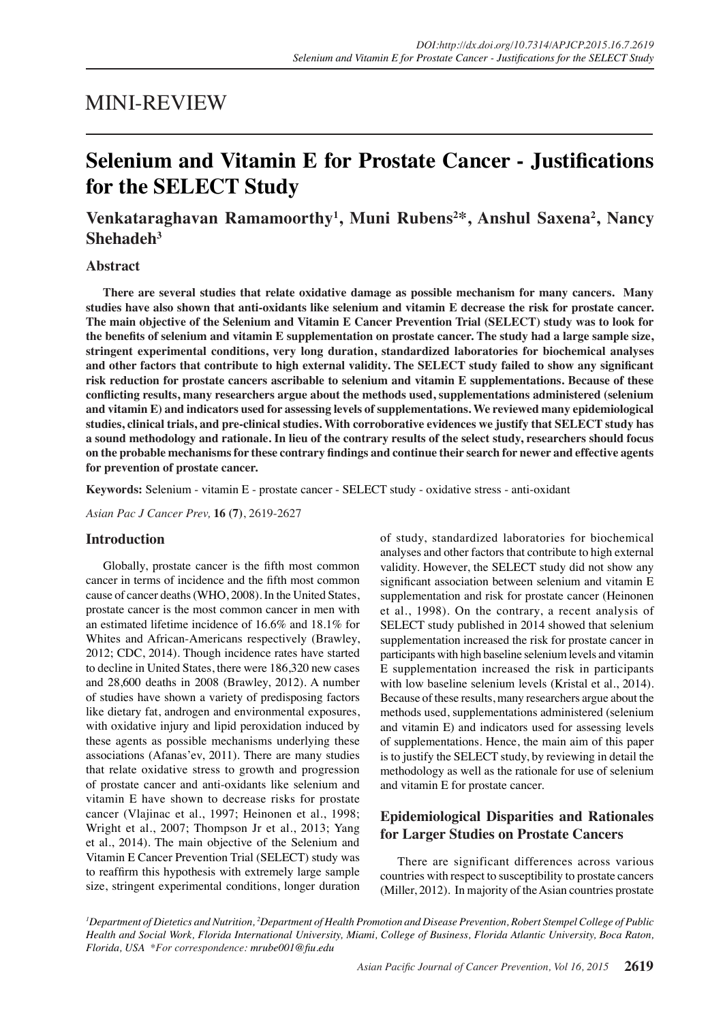# MINI-REVIEW

# **Selenium and Vitamin E for Prostate Cancer - Justifications for the SELECT Study**

# **Venkataraghavan Ramamoorthy1 , Muni Rubens<sup>2</sup> \*, Anshul Saxena<sup>2</sup> , Nancy Shehadeh3**

### **Abstract**

**There are several studies that relate oxidative damage as possible mechanism for many cancers. Many studies have also shown that anti-oxidants like selenium and vitamin E decrease the risk for prostate cancer. The main objective of the Selenium and Vitamin E Cancer Prevention Trial (SELECT) study was to look for the benefits of selenium and vitamin E supplementation on prostate cancer. The study had a large sample size, stringent experimental conditions, very long duration, standardized laboratories for biochemical analyses and other factors that contribute to high external validity. The SELECT study failed to show any significant risk reduction for prostate cancers ascribable to selenium and vitamin E supplementations. Because of these conflicting results, many researchers argue about the methods used, supplementations administered (selenium and vitamin E) and indicators used for assessing levels of supplementations. We reviewed many epidemiological studies, clinical trials, and pre-clinical studies. With corroborative evidences we justify that SELECT study has a sound methodology and rationale. In lieu of the contrary results of the select study, researchers should focus on the probable mechanisms for these contrary findings and continue their search for newer and effective agents for prevention of prostate cancer.**

**Keywords:** Selenium - vitamin E - prostate cancer - SELECT study - oxidative stress - anti-oxidant

*Asian Pac J Cancer Prev,* **16 (7)**, 2619-2627

### **Introduction**

Globally, prostate cancer is the fifth most common cancer in terms of incidence and the fifth most common cause of cancer deaths (WHO, 2008). In the United States, prostate cancer is the most common cancer in men with an estimated lifetime incidence of 16.6% and 18.1% for Whites and African-Americans respectively (Brawley, 2012; CDC, 2014). Though incidence rates have started to decline in United States, there were 186,320 new cases and 28,600 deaths in 2008 (Brawley, 2012). A number of studies have shown a variety of predisposing factors like dietary fat, androgen and environmental exposures, with oxidative injury and lipid peroxidation induced by these agents as possible mechanisms underlying these associations (Afanas'ev, 2011). There are many studies that relate oxidative stress to growth and progression of prostate cancer and anti-oxidants like selenium and vitamin E have shown to decrease risks for prostate cancer (Vlajinac et al., 1997; Heinonen et al., 1998; Wright et al., 2007; Thompson Jr et al., 2013; Yang et al., 2014). The main objective of the Selenium and Vitamin E Cancer Prevention Trial (SELECT) study was to reaffirm this hypothesis with extremely large sample size, stringent experimental conditions, longer duration of study, standardized laboratories for biochemical analyses and other factors that contribute to high external validity. However, the SELECT study did not show any significant association between selenium and vitamin E supplementation and risk for prostate cancer (Heinonen et al., 1998). On the contrary, a recent analysis of SELECT study published in 2014 showed that selenium supplementation increased the risk for prostate cancer in participants with high baseline selenium levels and vitamin E supplementation increased the risk in participants with low baseline selenium levels (Kristal et al., 2014). Because of these results, many researchers argue about the methods used, supplementations administered (selenium and vitamin E) and indicators used for assessing levels of supplementations. Hence, the main aim of this paper is to justify the SELECT study, by reviewing in detail the methodology as well as the rationale for use of selenium and vitamin E for prostate cancer.

# **Epidemiological Disparities and Rationales for Larger Studies on Prostate Cancers**

There are significant differences across various countries with respect to susceptibility to prostate cancers (Miller, 2012). In majority of the Asian countries prostate

*1 Department of Dietetics and Nutrition, 2 Department of Health Promotion and Disease Prevention, Robert Stempel College of Public Health and Social Work, Florida International University, Miami, College of Business, Florida Atlantic University, Boca Raton, Florida, USA \*For correspondence: mrube001@fiu.edu*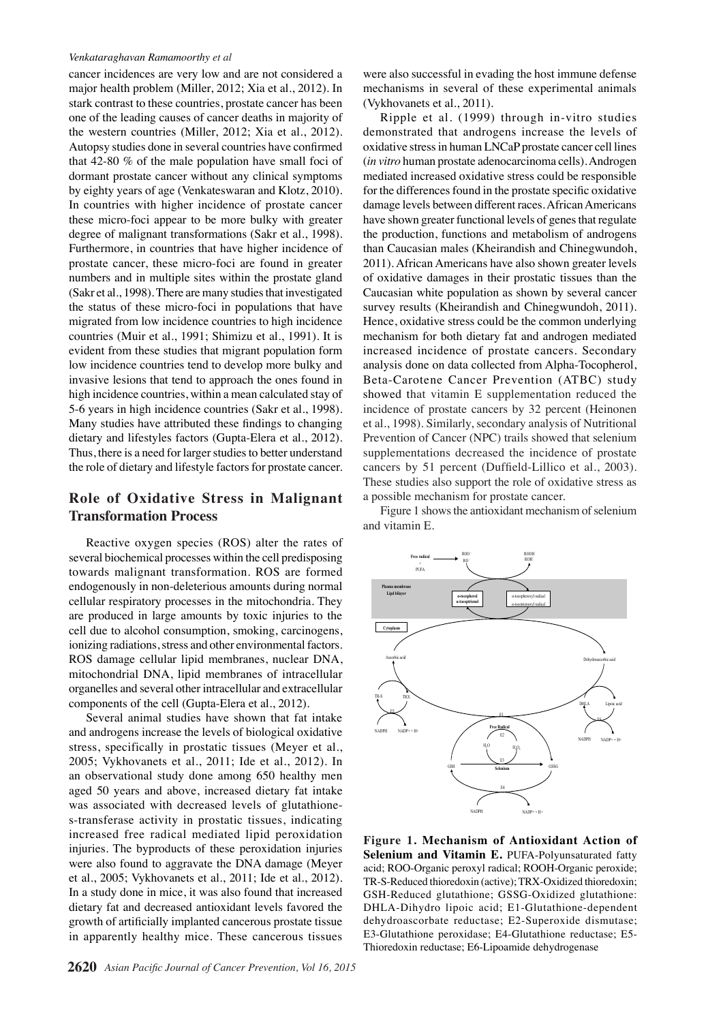cancer incidences are very low and are not considered a major health problem (Miller, 2012; Xia et al., 2012). In stark contrast to these countries, prostate cancer has been one of the leading causes of cancer deaths in majority of the western countries (Miller, 2012; Xia et al., 2012). Autopsy studies done in several countries have confirmed that 42-80 % of the male population have small foci of dormant prostate cancer without any clinical symptoms by eighty years of age (Venkateswaran and Klotz, 2010). In countries with higher incidence of prostate cancer these micro-foci appear to be more bulky with greater degree of malignant transformations (Sakr et al., 1998). Furthermore, in countries that have higher incidence of prostate cancer, these micro-foci are found in greater numbers and in multiple sites within the prostate gland (Sakr et al., 1998). There are many studies that investigated the status of these micro-foci in populations that have migrated from low incidence countries to high incidence countries (Muir et al., 1991; Shimizu et al., 1991). It is evident from these studies that migrant population form low incidence countries tend to develop more bulky and invasive lesions that tend to approach the ones found in high incidence countries, within a mean calculated stay of 5-6 years in high incidence countries (Sakr et al., 1998). Many studies have attributed these findings to changing dietary and lifestyles factors (Gupta-Elera et al., 2012). Thus, there is a need for larger studies to better understand the role of dietary and lifestyle factors for prostate cancer.

# **Role of Oxidative Stress in Malignant Transformation Process**

Reactive oxygen species (ROS) alter the rates of several biochemical processes within the cell predisposing towards malignant transformation. ROS are formed endogenously in non-deleterious amounts during normal cellular respiratory processes in the mitochondria. They are produced in large amounts by toxic injuries to the cell due to alcohol consumption, smoking, carcinogens, ionizing radiations, stress and other environmental factors. ROS damage cellular lipid membranes, nuclear DNA, mitochondrial DNA, lipid membranes of intracellular organelles and several other intracellular and extracellular components of the cell (Gupta-Elera et al., 2012).

Several animal studies have shown that fat intake and androgens increase the levels of biological oxidative stress, specifically in prostatic tissues (Meyer et al., 2005; Vykhovanets et al., 2011; Ide et al., 2012). In an observational study done among 650 healthy men aged 50 years and above, increased dietary fat intake was associated with decreased levels of glutathiones-transferase activity in prostatic tissues, indicating increased free radical mediated lipid peroxidation injuries. The byproducts of these peroxidation injuries were also found to aggravate the DNA damage (Meyer et al., 2005; Vykhovanets et al., 2011; Ide et al., 2012). In a study done in mice, it was also found that increased dietary fat and decreased antioxidant levels favored the growth of artificially implanted cancerous prostate tissue in apparently healthy mice. These cancerous tissues

were also successful in evading the host immune defense mechanisms in several of these experimental animals (Vykhovanets et al., 2011).

Ripple et al. (1999) through in-vitro studies demonstrated that androgens increase the levels of oxidative stress in human LNCaP prostate cancer cell lines (*in vitro* human prostate adenocarcinoma cells). Androgen mediated increased oxidative stress could be responsible for the differences found in the prostate specific oxidative damage levels between different races. African Americans have shown greater functional levels of genes that regulate the production, functions and metabolism of androgens than Caucasian males (Kheirandish and Chinegwundoh, 2011). African Americans have also shown greater levels of oxidative damages in their prostatic tissues than the Caucasian white population as shown by several cancer survey results (Kheirandish and Chinegwundoh, 2011). Hence, oxidative stress could be the common underlying mechanism for both dietary fat and androgen mediated increased incidence of prostate cancers. Secondary analysis done on data collected from Alpha-Tocopherol, Beta-Carotene Cancer Prevention (ATBC) study showed that vitamin E supplementation reduced the incidence of prostate cancers by 32 percent (Heinonen et al., 1998). Similarly, secondary analysis of Nutritional Prevention of Cancer (NPC) trails showed that selenium supplementations decreased the incidence of prostate cancers by 51 percent (Duffield-Lillico et al., 2003). These studies also support the role of oxidative stress as a possible mechanism for prostate cancer.

Figure 1 shows the antioxidant mechanism of selenium and vitamin E.



**Figure 1. Mechanism of Antioxidant Action of Selenium and Vitamin E. PUFA-Polyunsaturated fatty** acid; ROO-Organic peroxyl radical; ROOH-Organic peroxide; TR-S-Reduced thioredoxin (active); TRX-Oxidized thioredoxin; GSH-Reduced glutathione; GSSG-Oxidized glutathione: DHLA-Dihydro lipoic acid; E1-Glutathione-dependent dehydroascorbate reductase; E2-Superoxide dismutase; E3-Glutathione peroxidase; E4-Glutathione reductase; E5- Thioredoxin reductase; E6-Lipoamide dehydrogenase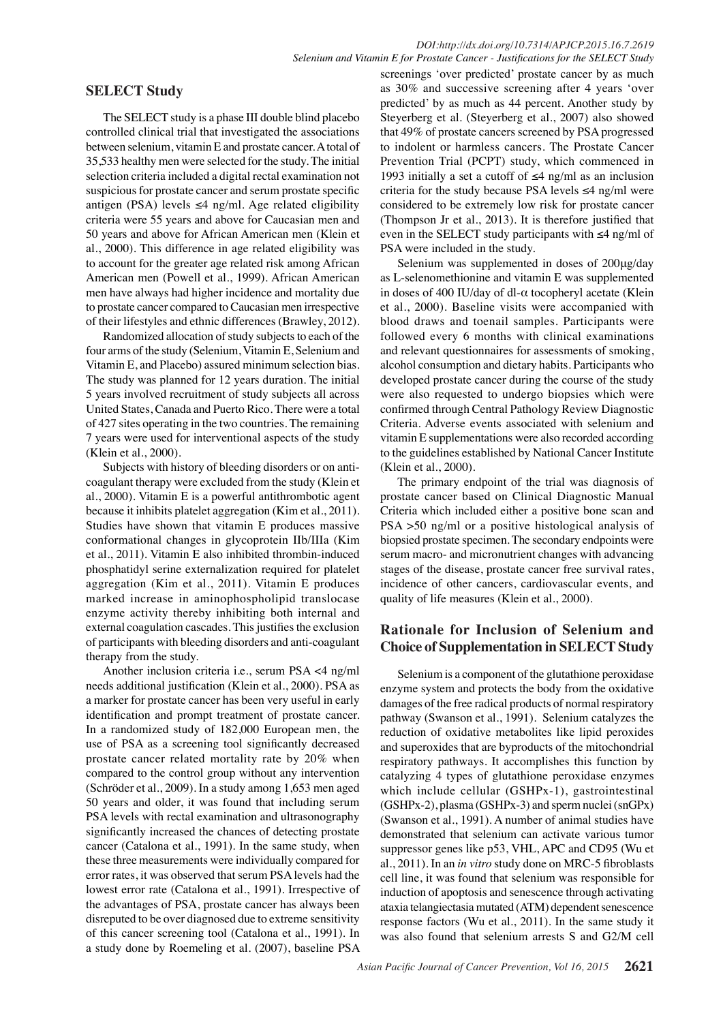# **SELECT Study**

The SELECT study is a phase III double blind placebo controlled clinical trial that investigated the associations between selenium, vitamin E and prostate cancer. A total of 35,533 healthy men were selected for the study. The initial selection criteria included a digital rectal examination not suspicious for prostate cancer and serum prostate specific antigen (PSA) levels ≤4 ng/ml. Age related eligibility criteria were 55 years and above for Caucasian men and 50 years and above for African American men (Klein et al., 2000). This difference in age related eligibility was to account for the greater age related risk among African American men (Powell et al., 1999). African American men have always had higher incidence and mortality due to prostate cancer compared to Caucasian men irrespective of their lifestyles and ethnic differences (Brawley, 2012).

Randomized allocation of study subjects to each of the four arms of the study (Selenium, Vitamin E, Selenium and Vitamin E, and Placebo) assured minimum selection bias. The study was planned for 12 years duration. The initial 5 years involved recruitment of study subjects all across United States, Canada and Puerto Rico. There were a total of 427 sites operating in the two countries. The remaining 7 years were used for interventional aspects of the study (Klein et al., 2000).

Subjects with history of bleeding disorders or on anticoagulant therapy were excluded from the study (Klein et al., 2000). Vitamin E is a powerful antithrombotic agent because it inhibits platelet aggregation (Kim et al., 2011). Studies have shown that vitamin E produces massive conformational changes in glycoprotein IIb/IIIa (Kim et al., 2011). Vitamin E also inhibited thrombin-induced phosphatidyl serine externalization required for platelet aggregation (Kim et al., 2011). Vitamin E produces marked increase in aminophospholipid translocase enzyme activity thereby inhibiting both internal and external coagulation cascades. This justifies the exclusion of participants with bleeding disorders and anti-coagulant therapy from the study.

Another inclusion criteria i.e., serum PSA <4 ng/ml needs additional justification (Klein et al., 2000). PSA as a marker for prostate cancer has been very useful in early identification and prompt treatment of prostate cancer. In a randomized study of 182,000 European men, the use of PSA as a screening tool significantly decreased prostate cancer related mortality rate by 20% when compared to the control group without any intervention (Schröder et al., 2009). In a study among 1,653 men aged 50 years and older, it was found that including serum PSA levels with rectal examination and ultrasonography significantly increased the chances of detecting prostate cancer (Catalona et al., 1991). In the same study, when these three measurements were individually compared for error rates, it was observed that serum PSA levels had the lowest error rate (Catalona et al., 1991). Irrespective of the advantages of PSA, prostate cancer has always been disreputed to be over diagnosed due to extreme sensitivity of this cancer screening tool (Catalona et al., 1991). In a study done by Roemeling et al. (2007), baseline PSA

screenings 'over predicted' prostate cancer by as much as 30% and successive screening after 4 years 'over predicted' by as much as 44 percent. Another study by Steyerberg et al. (Steyerberg et al., 2007) also showed that 49% of prostate cancers screened by PSA progressed to indolent or harmless cancers. The Prostate Cancer Prevention Trial (PCPT) study, which commenced in 1993 initially a set a cutoff of ≤4 ng/ml as an inclusion criteria for the study because PSA levels  $\leq$ 4 ng/ml were considered to be extremely low risk for prostate cancer (Thompson Jr et al., 2013). It is therefore justified that even in the SELECT study participants with ≤4 ng/ml of PSA were included in the study.

Selenium was supplemented in doses of 200μg/day as L-selenomethionine and vitamin E was supplemented in doses of 400 IU/day of dl-α tocopheryl acetate (Klein et al., 2000). Baseline visits were accompanied with blood draws and toenail samples. Participants were followed every 6 months with clinical examinations and relevant questionnaires for assessments of smoking, alcohol consumption and dietary habits. Participants who developed prostate cancer during the course of the study were also requested to undergo biopsies which were confirmed through Central Pathology Review Diagnostic Criteria. Adverse events associated with selenium and vitamin E supplementations were also recorded according to the guidelines established by National Cancer Institute (Klein et al., 2000).

The primary endpoint of the trial was diagnosis of prostate cancer based on Clinical Diagnostic Manual Criteria which included either a positive bone scan and PSA >50 ng/ml or a positive histological analysis of biopsied prostate specimen. The secondary endpoints were serum macro- and micronutrient changes with advancing stages of the disease, prostate cancer free survival rates, incidence of other cancers, cardiovascular events, and quality of life measures (Klein et al., 2000).

# **Rationale for Inclusion of Selenium and Choice of Supplementation in SELECT Study**

Selenium is a component of the glutathione peroxidase enzyme system and protects the body from the oxidative damages of the free radical products of normal respiratory pathway (Swanson et al., 1991). Selenium catalyzes the reduction of oxidative metabolites like lipid peroxides and superoxides that are byproducts of the mitochondrial respiratory pathways. It accomplishes this function by catalyzing 4 types of glutathione peroxidase enzymes which include cellular (GSHPx-1), gastrointestinal (GSHPx-2), plasma (GSHPx-3) and sperm nuclei (snGPx) (Swanson et al., 1991). A number of animal studies have demonstrated that selenium can activate various tumor suppressor genes like p53, VHL, APC and CD95 (Wu et al., 2011). In an *in vitro* study done on MRC-5 fibroblasts cell line, it was found that selenium was responsible for induction of apoptosis and senescence through activating ataxia telangiectasia mutated (ATM) dependent senescence response factors (Wu et al., 2011). In the same study it was also found that selenium arrests S and G2/M cell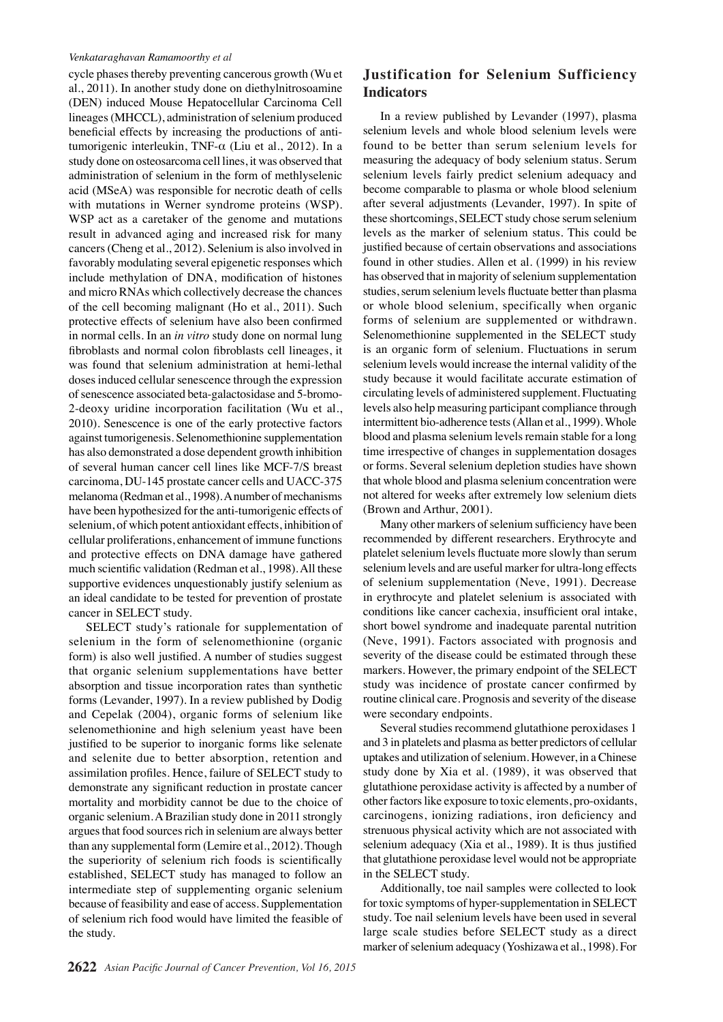cycle phases thereby preventing cancerous growth (Wu et al., 2011). In another study done on diethylnitrosoamine (DEN) induced Mouse Hepatocellular Carcinoma Cell lineages (MHCCL), administration of selenium produced beneficial effects by increasing the productions of antitumorigenic interleukin, TNF-α (Liu et al., 2012). In a study done on osteosarcoma cell lines, it was observed that administration of selenium in the form of methlyselenic acid (MSeA) was responsible for necrotic death of cells with mutations in Werner syndrome proteins (WSP). WSP act as a caretaker of the genome and mutations result in advanced aging and increased risk for many cancers (Cheng et al., 2012). Selenium is also involved in favorably modulating several epigenetic responses which include methylation of DNA, modification of histones and micro RNAs which collectively decrease the chances of the cell becoming malignant (Ho et al., 2011). Such protective effects of selenium have also been confirmed in normal cells. In an *in vitro* study done on normal lung fibroblasts and normal colon fibroblasts cell lineages, it was found that selenium administration at hemi-lethal doses induced cellular senescence through the expression of senescence associated beta-galactosidase and 5-bromo-2-deoxy uridine incorporation facilitation (Wu et al., 2010). Senescence is one of the early protective factors against tumorigenesis. Selenomethionine supplementation has also demonstrated a dose dependent growth inhibition of several human cancer cell lines like MCF-7/S breast carcinoma, DU-145 prostate cancer cells and UACC-375 melanoma (Redman et al., 1998). A number of mechanisms have been hypothesized for the anti-tumorigenic effects of selenium, of which potent antioxidant effects, inhibition of cellular proliferations, enhancement of immune functions and protective effects on DNA damage have gathered much scientific validation (Redman et al., 1998). All these supportive evidences unquestionably justify selenium as an ideal candidate to be tested for prevention of prostate cancer in SELECT study.

SELECT study's rationale for supplementation of selenium in the form of selenomethionine (organic form) is also well justified. A number of studies suggest that organic selenium supplementations have better absorption and tissue incorporation rates than synthetic forms (Levander, 1997). In a review published by Dodig and Cepelak (2004), organic forms of selenium like selenomethionine and high selenium yeast have been justified to be superior to inorganic forms like selenate and selenite due to better absorption, retention and assimilation profiles. Hence, failure of SELECT study to demonstrate any significant reduction in prostate cancer mortality and morbidity cannot be due to the choice of organic selenium. A Brazilian study done in 2011 strongly argues that food sources rich in selenium are always better than any supplemental form (Lemire et al., 2012). Though the superiority of selenium rich foods is scientifically established, SELECT study has managed to follow an intermediate step of supplementing organic selenium because of feasibility and ease of access. Supplementation of selenium rich food would have limited the feasible of the study.

# **Justification for Selenium Sufficiency Indicators**

In a review published by Levander (1997), plasma selenium levels and whole blood selenium levels were found to be better than serum selenium levels for measuring the adequacy of body selenium status. Serum selenium levels fairly predict selenium adequacy and become comparable to plasma or whole blood selenium after several adjustments (Levander, 1997). In spite of these shortcomings, SELECT study chose serum selenium levels as the marker of selenium status. This could be justified because of certain observations and associations found in other studies. Allen et al. (1999) in his review has observed that in majority of selenium supplementation studies, serum selenium levels fluctuate better than plasma or whole blood selenium, specifically when organic forms of selenium are supplemented or withdrawn. Selenomethionine supplemented in the SELECT study is an organic form of selenium. Fluctuations in serum selenium levels would increase the internal validity of the study because it would facilitate accurate estimation of circulating levels of administered supplement. Fluctuating levels also help measuring participant compliance through intermittent bio-adherence tests (Allan et al., 1999). Whole blood and plasma selenium levels remain stable for a long time irrespective of changes in supplementation dosages or forms. Several selenium depletion studies have shown that whole blood and plasma selenium concentration were not altered for weeks after extremely low selenium diets (Brown and Arthur, 2001).

Many other markers of selenium sufficiency have been recommended by different researchers. Erythrocyte and platelet selenium levels fluctuate more slowly than serum selenium levels and are useful marker for ultra-long effects of selenium supplementation (Neve, 1991). Decrease in erythrocyte and platelet selenium is associated with conditions like cancer cachexia, insufficient oral intake, short bowel syndrome and inadequate parental nutrition (Neve, 1991). Factors associated with prognosis and severity of the disease could be estimated through these markers. However, the primary endpoint of the SELECT study was incidence of prostate cancer confirmed by routine clinical care. Prognosis and severity of the disease were secondary endpoints.

Several studies recommend glutathione peroxidases 1 and 3 in platelets and plasma as better predictors of cellular uptakes and utilization of selenium. However, in a Chinese study done by Xia et al. (1989), it was observed that glutathione peroxidase activity is affected by a number of other factors like exposure to toxic elements, pro-oxidants, carcinogens, ionizing radiations, iron deficiency and strenuous physical activity which are not associated with selenium adequacy (Xia et al., 1989). It is thus justified that glutathione peroxidase level would not be appropriate in the SELECT study.

Additionally, toe nail samples were collected to look for toxic symptoms of hyper-supplementation in SELECT study. Toe nail selenium levels have been used in several large scale studies before SELECT study as a direct marker of selenium adequacy (Yoshizawa et al., 1998). For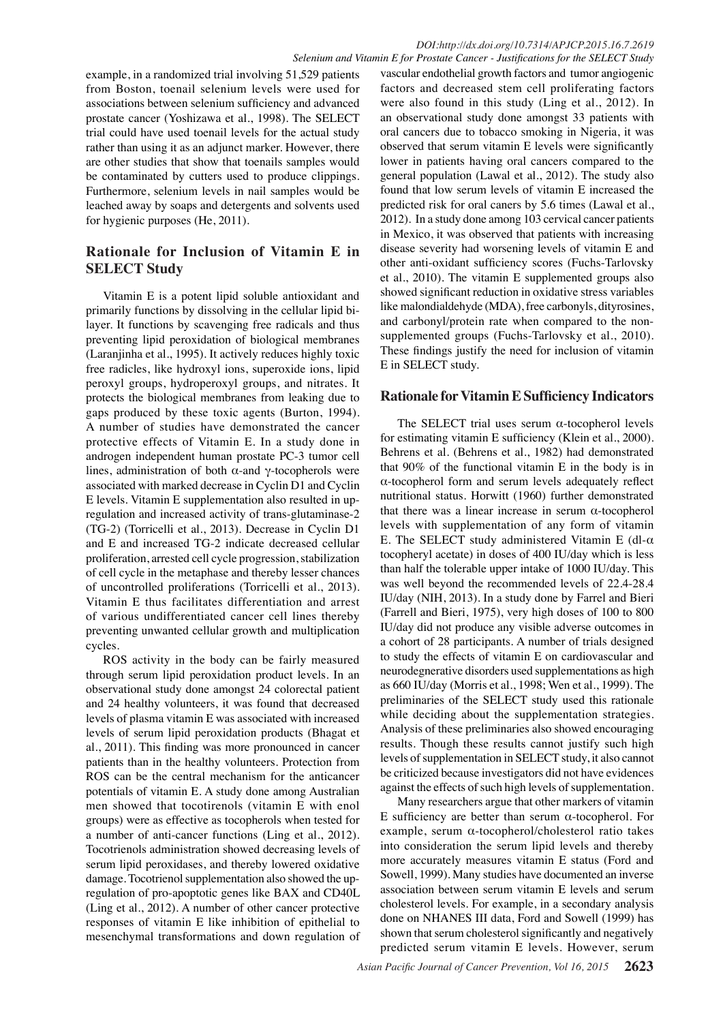example, in a randomized trial involving 51,529 patients from Boston, toenail selenium levels were used for associations between selenium sufficiency and advanced prostate cancer (Yoshizawa et al., 1998). The SELECT trial could have used toenail levels for the actual study rather than using it as an adjunct marker. However, there are other studies that show that toenails samples would be contaminated by cutters used to produce clippings. Furthermore, selenium levels in nail samples would be leached away by soaps and detergents and solvents used for hygienic purposes (He, 2011).

# **Rationale for Inclusion of Vitamin E in SELECT Study**

Vitamin E is a potent lipid soluble antioxidant and primarily functions by dissolving in the cellular lipid bilayer. It functions by scavenging free radicals and thus preventing lipid peroxidation of biological membranes (Laranjinha et al., 1995). It actively reduces highly toxic free radicles, like hydroxyl ions, superoxide ions, lipid peroxyl groups, hydroperoxyl groups, and nitrates. It protects the biological membranes from leaking due to gaps produced by these toxic agents (Burton, 1994). A number of studies have demonstrated the cancer protective effects of Vitamin E. In a study done in androgen independent human prostate PC-3 tumor cell lines, administration of both  $α$ -and γ-tocopherols were associated with marked decrease in Cyclin D1 and Cyclin E levels. Vitamin E supplementation also resulted in upregulation and increased activity of trans-glutaminase-2 (TG-2) (Torricelli et al., 2013). Decrease in Cyclin D1 and E and increased TG-2 indicate decreased cellular proliferation, arrested cell cycle progression, stabilization of cell cycle in the metaphase and thereby lesser chances of uncontrolled proliferations (Torricelli et al., 2013). Vitamin E thus facilitates differentiation and arrest of various undifferentiated cancer cell lines thereby preventing unwanted cellular growth and multiplication cycles.

ROS activity in the body can be fairly measured through serum lipid peroxidation product levels. In an observational study done amongst 24 colorectal patient and 24 healthy volunteers, it was found that decreased levels of plasma vitamin E was associated with increased levels of serum lipid peroxidation products (Bhagat et al., 2011). This finding was more pronounced in cancer patients than in the healthy volunteers. Protection from ROS can be the central mechanism for the anticancer potentials of vitamin E. A study done among Australian men showed that tocotirenols (vitamin E with enol groups) were as effective as tocopherols when tested for a number of anti-cancer functions (Ling et al., 2012). Tocotrienols administration showed decreasing levels of serum lipid peroxidases, and thereby lowered oxidative damage. Tocotrienol supplementation also showed the upregulation of pro-apoptotic genes like BAX and CD40L (Ling et al., 2012). A number of other cancer protective responses of vitamin E like inhibition of epithelial to mesenchymal transformations and down regulation of

*Selenium and Vitamin E for Prostate Cancer - Justifications for the SELECT Study* vascular endothelial growth factors and tumor angiogenic factors and decreased stem cell proliferating factors were also found in this study (Ling et al., 2012). In an observational study done amongst 33 patients with oral cancers due to tobacco smoking in Nigeria, it was observed that serum vitamin E levels were significantly lower in patients having oral cancers compared to the general population (Lawal et al., 2012). The study also found that low serum levels of vitamin E increased the predicted risk for oral caners by 5.6 times (Lawal et al., 2012). In a study done among 103 cervical cancer patients in Mexico, it was observed that patients with increasing disease severity had worsening levels of vitamin E and other anti-oxidant sufficiency scores (Fuchs-Tarlovsky et al., 2010). The vitamin E supplemented groups also showed significant reduction in oxidative stress variables like malondialdehyde (MDA), free carbonyls, dityrosines, and carbonyl/protein rate when compared to the nonsupplemented groups (Fuchs-Tarlovsky et al., 2010). These findings justify the need for inclusion of vitamin E in SELECT study.

# **Rationale for Vitamin E Sufficiency Indicators**

The SELECT trial uses serum  $\alpha$ -tocopherol levels for estimating vitamin E sufficiency (Klein et al., 2000). Behrens et al. (Behrens et al., 1982) had demonstrated that 90% of the functional vitamin E in the body is in α-tocopherol form and serum levels adequately reflect nutritional status. Horwitt (1960) further demonstrated that there was a linear increase in serum  $\alpha$ -tocopherol levels with supplementation of any form of vitamin E. The SELECT study administered Vitamin E (dl- $\alpha$ ) tocopheryl acetate) in doses of 400 IU/day which is less than half the tolerable upper intake of 1000 IU/day. This was well beyond the recommended levels of 22.4-28.4 IU/day (NIH, 2013). In a study done by Farrel and Bieri (Farrell and Bieri, 1975), very high doses of 100 to 800 IU/day did not produce any visible adverse outcomes in a cohort of 28 participants. A number of trials designed to study the effects of vitamin E on cardiovascular and neurodegnerative disorders used supplementations as high as 660 IU/day (Morris et al., 1998; Wen et al., 1999). The preliminaries of the SELECT study used this rationale while deciding about the supplementation strategies. Analysis of these preliminaries also showed encouraging results. Though these results cannot justify such high levels of supplementation in SELECT study, it also cannot be criticized because investigators did not have evidences against the effects of such high levels of supplementation.

Many researchers argue that other markers of vitamin E sufficiency are better than serum α-tocopherol. For example, serum α-tocopherol/cholesterol ratio takes into consideration the serum lipid levels and thereby more accurately measures vitamin E status (Ford and Sowell, 1999). Many studies have documented an inverse association between serum vitamin E levels and serum cholesterol levels. For example, in a secondary analysis done on NHANES III data, Ford and Sowell (1999) has shown that serum cholesterol significantly and negatively predicted serum vitamin E levels. However, serum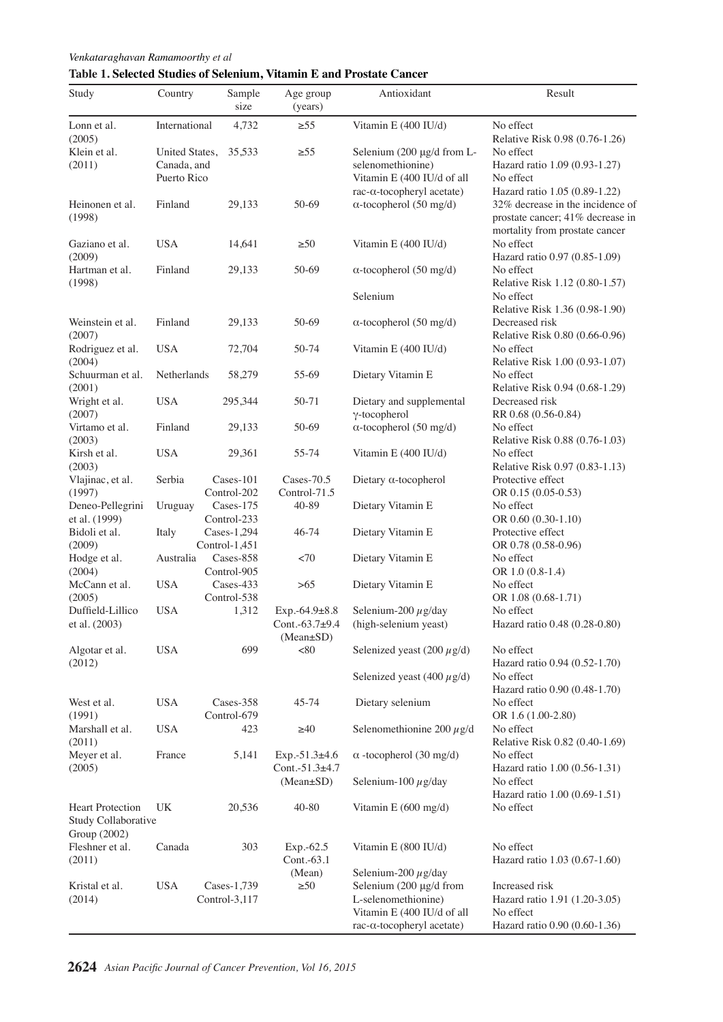# **Table 1. Selected Studies of Selenium, Vitamin E and Prostate Cancer**

| Study                                          | Country                                      | Sample<br>size               | Age group<br>(years)                            | Antioxidant                                                                                                                                               | Result                                                                                                                                              |          |
|------------------------------------------------|----------------------------------------------|------------------------------|-------------------------------------------------|-----------------------------------------------------------------------------------------------------------------------------------------------------------|-----------------------------------------------------------------------------------------------------------------------------------------------------|----------|
| Lonn et al.<br>(2005)                          | International                                | 4,732                        | $\geq 55$                                       | Vitamin E (400 IU/d)                                                                                                                                      | No effect<br>Relative Risk 0.98 (0.76-1.26)                                                                                                         |          |
| Klein et al.<br>(2011)                         | United States,<br>Canada, and<br>Puerto Rico | 35,533                       | $\geq 55$                                       | Selenium $(200 \mu g/d)$ from L-<br>selenomethionine)<br>Vitamin E (400 IU/d of all                                                                       | No effect<br>Hazard ratio 1.09 (0.93-1.27)<br>No effect                                                                                             |          |
| Heinonen et al.<br>(1998)                      | Finland                                      | 29,133                       | 50-69                                           | rac-α-tocopheryl acetate)<br>$\alpha$ -tocopherol (50 mg/d)                                                                                               | Hazard ratio 1.05 (0.89-1.22)<br>32% decrease in the incidence of<br>prostate cancer; 41% decrease i <b>100.0</b><br>mortality from prostate cancer |          |
| Gaziano et al.<br>(2009)                       | <b>USA</b>                                   | 14,641                       | $\geq 50$                                       | Vitamin E (400 IU/d)                                                                                                                                      | No effect<br>Hazard ratio 0.97 (0.85-1.09)                                                                                                          |          |
| Hartman et al.<br>(1998)                       | Finland                                      | 29,133                       | 50-69                                           | $\alpha$ -tocopherol (50 mg/d)                                                                                                                            | No effect<br>Relative Risk 1.12 (0.80-1.57)                                                                                                         | 75.0     |
|                                                |                                              |                              |                                                 | Selenium                                                                                                                                                  | No effect<br>Relative Risk 1.36 (0.98-1.90)                                                                                                         |          |
| Weinstein et al.<br>(2007)                     | Finland                                      | 29,133                       | 50-69                                           | $\alpha$ -tocopherol (50 mg/d)                                                                                                                            | Decreased risk<br>Relative Risk 0.80 (0.66-0.96)                                                                                                    | 50.0     |
| Rodriguez et al.<br>(2004)                     | <b>USA</b>                                   | 72,704                       | 50-74                                           | Vitamin E (400 IU/d)                                                                                                                                      | No effect<br>Relative Risk 1.00 (0.93-1.07)                                                                                                         | 25.0     |
| Schuurman et al.<br>(2001)                     | Netherlands                                  | 58,279                       | 55-69                                           | Dietary Vitamin E                                                                                                                                         | No effect<br>Relative Risk 0.94 (0.68-1.29)                                                                                                         |          |
| Wright et al.<br>(2007)                        | <b>USA</b>                                   | 295,344                      | 50-71                                           | Dietary and supplemental<br>$\gamma$ -tocopherol                                                                                                          | Decreased risk<br>RR 0.68 (0.56-0.84)                                                                                                               |          |
| Virtamo et al.<br>(2003)                       | Finland                                      | 29,133                       | 50-69                                           | $\alpha$ -tocopherol (50 mg/d)                                                                                                                            | No effect<br>Relative Risk 0.88 (0.76-1.03)                                                                                                         | $\bf{0}$ |
| Kirsh et al.<br>(2003)                         | <b>USA</b>                                   | 29,361                       | 55-74                                           | Vitamin E (400 IU/d)                                                                                                                                      | No effect<br>Relative Risk 0.97 (0.83-1.13)                                                                                                         |          |
| Vlajinac, et al.<br>(1997)                     | Serbia                                       | Cases-101<br>Control-202     | Cases-70.5<br>Control-71.5                      | Dietary $\alpha$ -tocopherol                                                                                                                              | Protective effect<br>OR 0.15 (0.05-0.53)                                                                                                            |          |
| Deneo-Pellegrini<br>et al. (1999)              | Uruguay                                      | Cases-175<br>Control-233     | 40-89                                           | Dietary Vitamin E                                                                                                                                         | No effect<br>OR 0.60 (0.30-1.10)                                                                                                                    |          |
| Bidoli et al.<br>(2009)                        | Italy                                        | Cases-1,294<br>Control-1,451 | 46-74                                           | Dietary Vitamin E                                                                                                                                         | Protective effect<br>OR 0.78 (0.58-0.96)                                                                                                            |          |
| Hodge et al.<br>(2004)                         | Australia                                    | Cases-858<br>Control-905     | <70                                             | Dietary Vitamin E                                                                                                                                         | No effect<br>OR 1.0 (0.8-1.4)                                                                                                                       |          |
| McCann et al.<br>(2005)                        | <b>USA</b>                                   | Cases-433<br>Control-538     | >65                                             | Dietary Vitamin E                                                                                                                                         | No effect<br>OR 1.08 (0.68-1.71)                                                                                                                    |          |
| Duffield-Lillico<br>et al. (2003)              | <b>USA</b>                                   | 1,312                        | Exp.-64.9±8.8<br>Cont.- $63.7+9.4$<br>(Mean±SD) | Selenium-200 $\mu$ g/day<br>(high-selenium yeast)                                                                                                         | No effect<br>Hazard ratio 0.48 (0.28-0.80)                                                                                                          |          |
| Algotar et al.<br>(2012)                       | <b>USA</b>                                   | 699                          | < 80                                            | Selenized yeast (200 $\mu$ g/d)                                                                                                                           | No effect<br>Hazard ratio 0.94 (0.52-1.70)                                                                                                          |          |
|                                                |                                              |                              |                                                 | Selenized yeast (400 $\mu$ g/d)                                                                                                                           | No effect<br>Hazard ratio 0.90 (0.48-1.70)                                                                                                          |          |
| West et al.<br>(1991)                          | <b>USA</b>                                   | Cases-358<br>Control-679     | 45-74                                           | Dietary selenium                                                                                                                                          | No effect<br>OR 1.6 (1.00-2.80)                                                                                                                     |          |
| Marshall et al.<br>(2011)                      | <b>USA</b>                                   | 423                          | $\geq 40$                                       | Selenomethionine 200 $\mu$ g/d                                                                                                                            | No effect<br>Relative Risk 0.82 (0.40-1.69)                                                                                                         |          |
| Meyer et al.<br>(2005)                         | France                                       | 5,141                        | $Exp.-51.3±4.6$<br>Cont.- $51.3\pm4.7$          | $\alpha$ -tocopherol (30 mg/d)                                                                                                                            | No effect<br>Hazard ratio 1.00 (0.56-1.31)                                                                                                          |          |
|                                                |                                              |                              | $(Mean \pm SD)$                                 | Selenium-100 $\mu$ g/day                                                                                                                                  | No effect<br>Hazard ratio 1.00 (0.69-1.51)                                                                                                          |          |
| <b>Heart Protection</b><br>Study Collaborative | UK                                           | 20,536                       | 40-80                                           | Vitamin E $(600 \text{ mg/d})$                                                                                                                            | No effect                                                                                                                                           |          |
| Group (2002)<br>Fleshner et al.<br>(2011)      | Canada                                       | 303                          | $Exp.-62.5$<br>Cont.-63.1                       | Vitamin E (800 IU/d)                                                                                                                                      | No effect<br>Hazard ratio 1.03 (0.67-1.60)                                                                                                          |          |
| Kristal et al.<br>(2014)                       | <b>USA</b>                                   | Cases-1,739<br>Control-3,117 | (Mean)<br>$\geq 50$                             | Selenium-200 $\mu$ g/day<br>Selenium (200 µg/d from<br>L-selenomethionine)<br>Vitamin E (400 IU/d of all<br>$rac{-\alpha - t \text{ocopheryl acetate}}{}$ | Increased risk<br>Hazard ratio 1.91 (1.20-3.05)<br>No effect<br>Hazard ratio 0.90 (0.60-1.36)                                                       |          |

**20.3 6.3 10.1**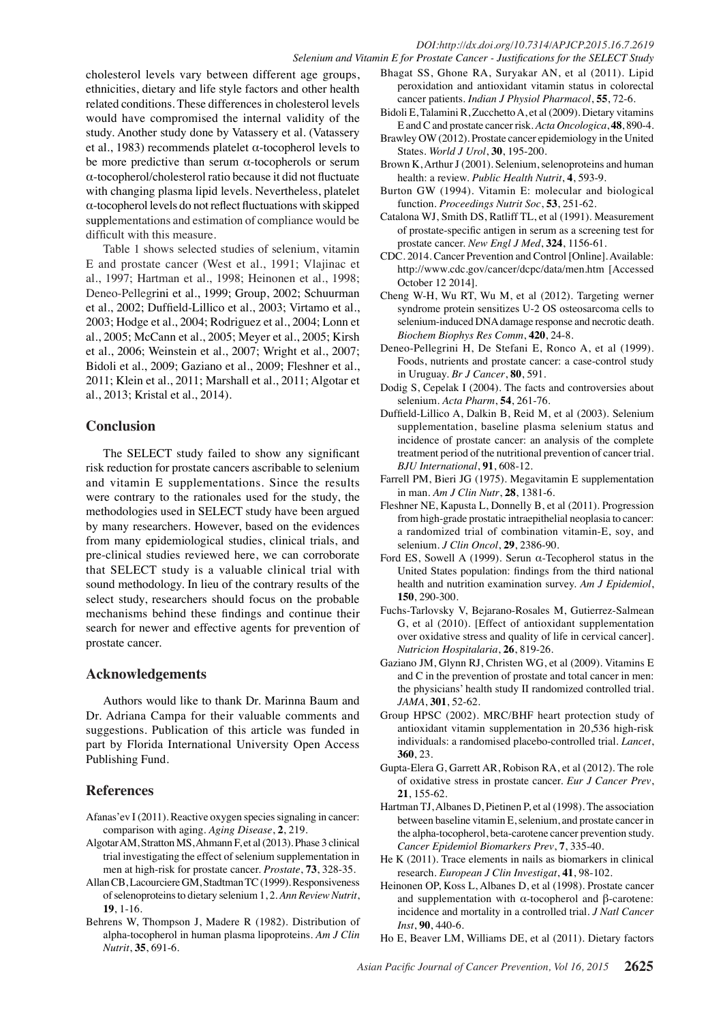cholesterol levels vary between different age groups, ethnicities, dietary and life style factors and other health related conditions. These differences in cholesterol levels would have compromised the internal validity of the study. Another study done by Vatassery et al. (Vatassery et al., 1983) recommends platelet  $\alpha$ -tocopherol levels to be more predictive than serum  $\alpha$ -tocopherols or serum α-tocopherol/cholesterol ratio because it did not fluctuate with changing plasma lipid levels. Nevertheless, platelet α-tocopherol levels do not reflect fluctuations with skipped supplementations and estimation of compliance would be difficult with this measure.

Table 1 shows selected studies of selenium, vitamin E and prostate cancer (West et al., 1991; Vlajinac et al., 1997; Hartman et al., 1998; Heinonen et al., 1998; Deneo-Pellegrini et al., 1999; Group, 2002; Schuurman et al., 2002; Duffield-Lillico et al., 2003; Virtamo et al., 2003; Hodge et al., 2004; Rodriguez et al., 2004; Lonn et al., 2005; McCann et al., 2005; Meyer et al., 2005; Kirsh et al., 2006; Weinstein et al., 2007; Wright et al., 2007; Bidoli et al., 2009; Gaziano et al., 2009; Fleshner et al., 2011; Klein et al., 2011; Marshall et al., 2011; Algotar et al., 2013; Kristal et al., 2014).

## **Conclusion**

The SELECT study failed to show any significant risk reduction for prostate cancers ascribable to selenium and vitamin E supplementations. Since the results were contrary to the rationales used for the study, the methodologies used in SELECT study have been argued by many researchers. However, based on the evidences from many epidemiological studies, clinical trials, and pre-clinical studies reviewed here, we can corroborate that SELECT study is a valuable clinical trial with sound methodology. In lieu of the contrary results of the select study, researchers should focus on the probable mechanisms behind these findings and continue their search for newer and effective agents for prevention of prostate cancer.

### **Acknowledgements**

Authors would like to thank Dr. Marinna Baum and Dr. Adriana Campa for their valuable comments and suggestions. Publication of this article was funded in part by Florida International University Open Access Publishing Fund.

# **References**

Afanas'ev I (2011). Reactive oxygen species signaling in cancer: comparison with aging. *Aging Disease*, **2**, 219.

- Algotar AM, Stratton MS, Ahmann F, et al (2013). Phase 3 clinical trial investigating the effect of selenium supplementation in men at high-risk for prostate cancer. *Prostate*, **73**, 328-35.
- Allan CB, Lacourciere GM, Stadtman TC (1999). Responsiveness of selenoproteins to dietary selenium 1, 2. *Ann Review Nutrit*, **19**, 1-16.
- Behrens W, Thompson J, Madere R (1982). Distribution of alpha-tocopherol in human plasma lipoproteins. *Am J Clin Nutrit*, **35**, 691-6.
- Bhagat SS, Ghone RA, Suryakar AN, et al (2011). Lipid peroxidation and antioxidant vitamin status in colorectal cancer patients. *Indian J Physiol Pharmacol*, **55**, 72-6.
- Bidoli E, Talamini R, Zucchetto A, et al (2009). Dietary vitamins E and C and prostate cancer risk. *Acta Oncologica*, **48**, 890-4.
- Brawley OW (2012). Prostate cancer epidemiology in the United States. *World J Urol*, **30**, 195-200.
- Brown K, Arthur J (2001). Selenium, selenoproteins and human health: a review. *Public Health Nutrit*, **4**, 593-9.
- Burton GW (1994). Vitamin E: molecular and biological function. *Proceedings Nutrit Soc*, **53**, 251-62.
- Catalona WJ, Smith DS, Ratliff TL, et al (1991). Measurement of prostate-specific antigen in serum as a screening test for prostate cancer. *New Engl J Med*, **324**, 1156-61.
- CDC. 2014. Cancer Prevention and Control [Online]. Available: http://www.cdc.gov/cancer/dcpc/data/men.htm [Accessed October 12 2014].
- Cheng W-H, Wu RT, Wu M, et al (2012). Targeting werner syndrome protein sensitizes U-2 OS osteosarcoma cells to selenium-induced DNA damage response and necrotic death. *Biochem Biophys Res Comm*, **420**, 24-8.
- Deneo-Pellegrini H, De Stefani E, Ronco A, et al (1999). Foods, nutrients and prostate cancer: a case-control study in Uruguay. *Br J Cancer*, **80**, 591.
- Dodig S, Cepelak I (2004). The facts and controversies about selenium. *Acta Pharm*, **54**, 261-76.
- Duffield-Lillico A, Dalkin B, Reid M, et al (2003). Selenium supplementation, baseline plasma selenium status and incidence of prostate cancer: an analysis of the complete treatment period of the nutritional prevention of cancer trial. *BJU International*, **91**, 608-12.
- Farrell PM, Bieri JG (1975). Megavitamin E supplementation in man. *Am J Clin Nutr*, **28**, 1381-6.
- Fleshner NE, Kapusta L, Donnelly B, et al (2011). Progression from high-grade prostatic intraepithelial neoplasia to cancer: a randomized trial of combination vitamin-E, soy, and selenium. *J Clin Oncol*, **29**, 2386-90.
- Ford ES, Sowell A (1999). Serun α-Tecopherol status in the United States population: findings from the third national health and nutrition examination survey. *Am J Epidemiol*, **150**, 290-300.
- Fuchs-Tarlovsky V, Bejarano-Rosales M, Gutierrez-Salmean G, et al (2010). [Effect of antioxidant supplementation over oxidative stress and quality of life in cervical cancer]. *Nutricion Hospitalaria*, **26**, 819-26.
- Gaziano JM, Glynn RJ, Christen WG, et al (2009). Vitamins E and C in the prevention of prostate and total cancer in men: the physicians' health study II randomized controlled trial. *JAMA*, **301**, 52-62.
- Group HPSC (2002). MRC/BHF heart protection study of antioxidant vitamin supplementation in 20,536 high-risk individuals: a randomised placebo-controlled trial. *Lancet*, **360**, 23.
- Gupta-Elera G, Garrett AR, Robison RA, et al (2012). The role of oxidative stress in prostate cancer. *Eur J Cancer Prev*, **21**, 155-62.
- Hartman TJ, Albanes D, Pietinen P, et al (1998). The association between baseline vitamin E, selenium, and prostate cancer in the alpha-tocopherol, beta-carotene cancer prevention study. *Cancer Epidemiol Biomarkers Prev*, **7**, 335-40.
- He K (2011). Trace elements in nails as biomarkers in clinical research. *European J Clin Investigat*, **41**, 98-102.
- Heinonen OP, Koss L, Albanes D, et al (1998). Prostate cancer and supplementation with α-tocopherol and β-carotene: incidence and mortality in a controlled trial. *J Natl Cancer Inst*, **90**, 440-6.
- Ho E, Beaver LM, Williams DE, et al (2011). Dietary factors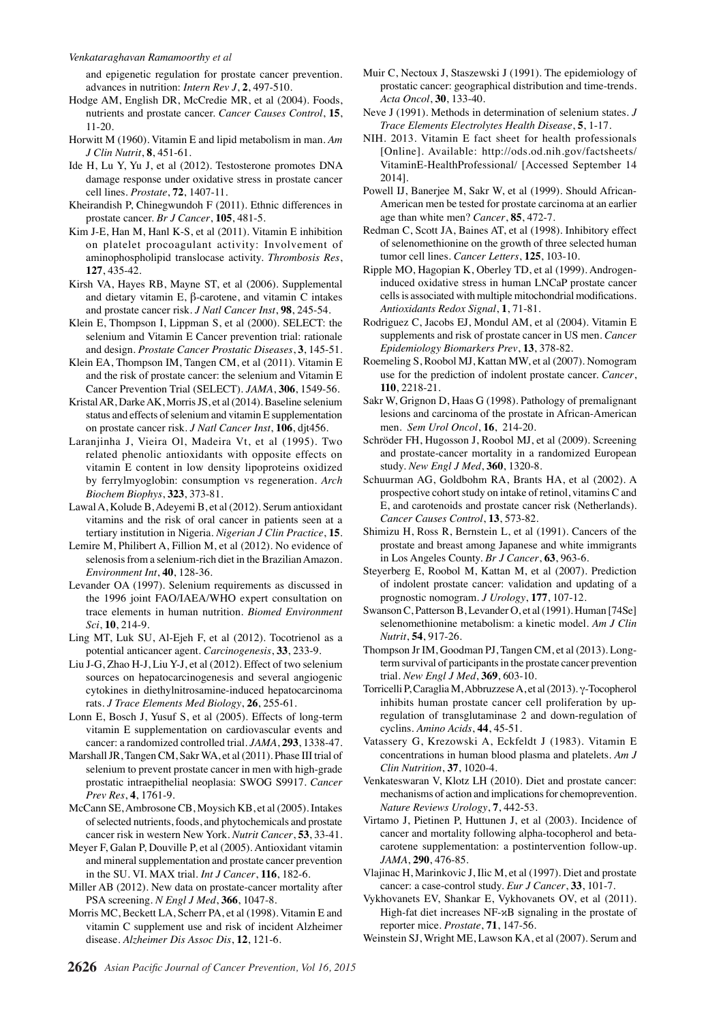and epigenetic regulation for prostate cancer prevention. advances in nutrition: *Intern Rev J*, **2**, 497-510.

- Hodge AM, English DR, McCredie MR, et al (2004). Foods, nutrients and prostate cancer. *Cancer Causes Control*, **15**, 11-20.
- Horwitt M (1960). Vitamin E and lipid metabolism in man. *Am J Clin Nutrit*, **8**, 451-61.
- Ide H, Lu Y, Yu J, et al (2012). Testosterone promotes DNA damage response under oxidative stress in prostate cancer cell lines. *Prostate*, **72**, 1407-11.
- Kheirandish P, Chinegwundoh F (2011). Ethnic differences in prostate cancer. *Br J Cancer*, **105**, 481-5.
- Kim J-E, Han M, Hanl K-S, et al (2011). Vitamin E inhibition on platelet procoagulant activity: Involvement of aminophospholipid translocase activity. *Thrombosis Res*, **127**, 435-42.
- Kirsh VA, Hayes RB, Mayne ST, et al (2006). Supplemental and dietary vitamin E, β-carotene, and vitamin C intakes and prostate cancer risk. *J Natl Cancer Inst*, **98**, 245-54.
- Klein E, Thompson I, Lippman S, et al (2000). SELECT: the selenium and Vitamin E Cancer prevention trial: rationale and design. *Prostate Cancer Prostatic Diseases*, **3**, 145-51.
- Klein EA, Thompson IM, Tangen CM, et al (2011). Vitamin E and the risk of prostate cancer: the selenium and Vitamin E Cancer Prevention Trial (SELECT). *JAMA*, **306**, 1549-56.
- Kristal AR, Darke AK, Morris JS, et al (2014). Baseline selenium status and effects of selenium and vitamin E supplementation on prostate cancer risk. *J Natl Cancer Inst*, **106**, djt456.
- Laranjinha J, Vieira Ol, Madeira Vt, et al (1995). Two related phenolic antioxidants with opposite effects on vitamin E content in low density lipoproteins oxidized by ferrylmyoglobin: consumption vs regeneration. *Arch Biochem Biophys*, **323**, 373-81.
- Lawal A, Kolude B, Adeyemi B, et al (2012). Serum antioxidant vitamins and the risk of oral cancer in patients seen at a tertiary institution in Nigeria. *Nigerian J Clin Practice*, **15**.
- Lemire M, Philibert A, Fillion M, et al (2012). No evidence of selenosis from a selenium-rich diet in the Brazilian Amazon. *Environment Int*, **40**, 128-36.
- Levander OA (1997). Selenium requirements as discussed in the 1996 joint FAO/IAEA/WHO expert consultation on trace elements in human nutrition. *Biomed Environment Sci*, **10**, 214-9.
- Ling MT, Luk SU, Al-Ejeh F, et al (2012). Tocotrienol as a potential anticancer agent. *Carcinogenesis*, **33**, 233-9.
- Liu J-G, Zhao H-J, Liu Y-J, et al (2012). Effect of two selenium sources on hepatocarcinogenesis and several angiogenic cytokines in diethylnitrosamine-induced hepatocarcinoma rats. *J Trace Elements Med Biology*, **26**, 255-61.
- Lonn E, Bosch J, Yusuf S, et al (2005). Effects of long-term vitamin E supplementation on cardiovascular events and cancer: a randomized controlled trial. *JAMA*, **293**, 1338-47.
- Marshall JR, Tangen CM, Sakr WA, et al (2011). Phase III trial of selenium to prevent prostate cancer in men with high-grade prostatic intraepithelial neoplasia: SWOG S9917. *Cancer Prev Res*, **4**, 1761-9.
- McCann SE, Ambrosone CB, Moysich KB, et al (2005). Intakes of selected nutrients, foods, and phytochemicals and prostate cancer risk in western New York. *Nutrit Cancer*, **53**, 33-41.
- Meyer F, Galan P, Douville P, et al (2005). Antioxidant vitamin and mineral supplementation and prostate cancer prevention in the SU. VI. MAX trial. *Int J Cancer*, **116**, 182-6.
- Miller AB (2012). New data on prostate-cancer mortality after PSA screening. *N Engl J Med*, **366**, 1047-8.
- Morris MC, Beckett LA, Scherr PA, et al (1998). Vitamin E and vitamin C supplement use and risk of incident Alzheimer disease. *Alzheimer Dis Assoc Dis*, **12**, 121-6.
- Muir C, Nectoux J, Staszewski J (1991). The epidemiology of prostatic cancer: geographical distribution and time-trends. *Acta Oncol*, **30**, 133-40.
- Neve J (1991). Methods in determination of selenium states. *J Trace Elements Electrolytes Health Disease*, **5**, 1-17.
- NIH. 2013. Vitamin E fact sheet for health professionals [Online]. Available: http://ods.od.nih.gov/factsheets/ VitaminE-HealthProfessional/ [Accessed September 14 2014].
- Powell IJ, Banerjee M, Sakr W, et al (1999). Should African-American men be tested for prostate carcinoma at an earlier age than white men? *Cancer*, **85**, 472-7.
- Redman C, Scott JA, Baines AT, et al (1998). Inhibitory effect of selenomethionine on the growth of three selected human tumor cell lines. *Cancer Letters*, **125**, 103-10.
- Ripple MO, Hagopian K, Oberley TD, et al (1999). Androgeninduced oxidative stress in human LNCaP prostate cancer cells is associated with multiple mitochondrial modifications. *Antioxidants Redox Signal*, **1**, 71-81.
- Rodriguez C, Jacobs EJ, Mondul AM, et al (2004). Vitamin E supplements and risk of prostate cancer in US men. *Cancer Epidemiology Biomarkers Prev*, **13**, 378-82.
- Roemeling S, Roobol MJ, Kattan MW, et al (2007). Nomogram use for the prediction of indolent prostate cancer. *Cancer*, **110**, 2218-21.
- Sakr W, Grignon D, Haas G (1998). Pathology of premalignant lesions and carcinoma of the prostate in African-American men. *Sem Urol Oncol*, **16**, 214-20.
- Schröder FH, Hugosson J, Roobol MJ, et al (2009). Screening and prostate-cancer mortality in a randomized European study. *New Engl J Med*, **360**, 1320-8.
- Schuurman AG, Goldbohm RA, Brants HA, et al (2002). A prospective cohort study on intake of retinol, vitamins C and E, and carotenoids and prostate cancer risk (Netherlands). *Cancer Causes Control*, **13**, 573-82.
- Shimizu H, Ross R, Bernstein L, et al (1991). Cancers of the prostate and breast among Japanese and white immigrants in Los Angeles County. *Br J Cancer*, **63**, 963-6.
- Steyerberg E, Roobol M, Kattan M, et al (2007). Prediction of indolent prostate cancer: validation and updating of a prognostic nomogram. *J Urology*, **177**, 107-12.
- Swanson C, Patterson B, Levander O, et al (1991). Human [74Se] selenomethionine metabolism: a kinetic model. *Am J Clin Nutrit*, **54**, 917-26.
- Thompson Jr IM, Goodman PJ, Tangen CM, et al (2013). Longterm survival of participants in the prostate cancer prevention trial. *New Engl J Med*, **369**, 603-10.
- Torricelli P, Caraglia M, Abbruzzese A, et al (2013). γ-Tocopherol inhibits human prostate cancer cell proliferation by upregulation of transglutaminase 2 and down-regulation of cyclins. *Amino Acids*, **44**, 45-51.
- Vatassery G, Krezowski A, Eckfeldt J (1983). Vitamin E concentrations in human blood plasma and platelets. *Am J Clin Nutrition*, **37**, 1020-4.
- Venkateswaran V, Klotz LH (2010). Diet and prostate cancer: mechanisms of action and implications for chemoprevention. *Nature Reviews Urology*, **7**, 442-53.
- Virtamo J, Pietinen P, Huttunen J, et al (2003). Incidence of cancer and mortality following alpha-tocopherol and betacarotene supplementation: a postintervention follow-up. *JAMA*, **290**, 476-85.
- Vlajinac H, Marinkovic J, Ilic M, et al (1997). Diet and prostate cancer: a case-control study. *Eur J Cancer*, **33**, 101-7.
- Vykhovanets EV, Shankar E, Vykhovanets OV, et al (2011). High-fat diet increases NF-κB signaling in the prostate of reporter mice. *Prostate*, **71**, 147-56.
- Weinstein SJ, Wright ME, Lawson KA, et al (2007). Serum and